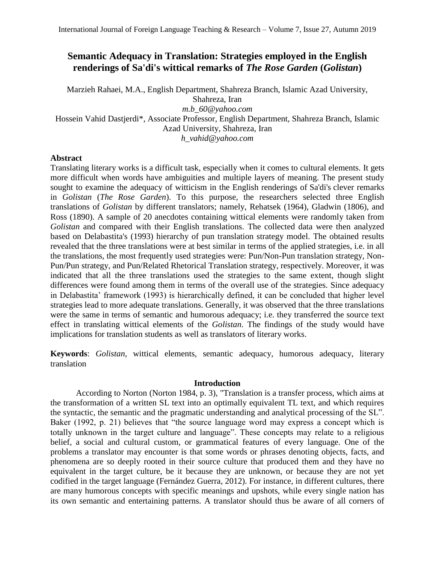# **Semantic Adequacy in Translation: Strategies employed in the English renderings of Sa'di's wittical remarks of** *The Rose Garden* **(***Golistan***)**

Marzieh Rahaei, M.A., English Department, Shahreza Branch, Islamic Azad University, Shahreza, Iran *m.b\_60@yahoo.com* Hossein Vahid Dastjerdi\*, Associate Professor, English Department, Shahreza Branch, Islamic Azad University, Shahreza, Iran *[h\\_vahid@yahoo.com](mailto:h_vahid@yahoo.com)*

# **Abstract**

Translating literary works is a difficult task, especially when it comes to cultural elements. It gets more difficult when words have ambiguities and multiple layers of meaning. The present study sought to examine the adequacy of witticism in the English renderings of Sa'di's clever remarks in *Golistan* (*The Rose Garden*). To this purpose, the researchers selected three English translations of *Golistan* by different translators; namely, Rehatsek (1964), Gladwin (1806), and Ross (1890). A sample of 20 anecdotes containing wittical elements were randomly taken from *Golistan* and compared with their English translations. The collected data were then analyzed based on Delabastita's (1993) hierarchy of pun translation strategy model. The obtained results revealed that the three translations were at best similar in terms of the applied strategies, i.e. in all the translations, the most frequently used strategies were: Pun/Non-Pun translation strategy, Non-Pun/Pun strategy, and Pun/Related Rhetorical Translation strategy, respectively. Moreover, it was indicated that all the three translations used the strategies to the same extent, though slight differences were found among them in terms of the overall use of the strategies. Since adequacy in Delabastita' framework (1993) is hierarchically defined, it can be concluded that higher level strategies lead to more adequate translations. Generally, it was observed that the three translations were the same in terms of semantic and humorous adequacy; i.e. they transferred the source text effect in translating wittical elements of the *Golistan*. The findings of the study would have implications for translation students as well as translators of literary works.

**Keywords**: *Golistan*, wittical elements, semantic adequacy, humorous adequacy, literary translation

### **Introduction**

According to Norton (Norton 1984, p. 3), "Translation is a transfer process, which aims at the transformation of a written SL text into an optimally equivalent TL text, and which requires the syntactic, the semantic and the pragmatic understanding and analytical processing of the SL". Baker (1992, p. 21) believes that "the source language word may express a concept which is totally unknown in the target culture and language". These concepts may relate to a religious belief, a social and cultural custom, or grammatical features of every language. One of the problems a translator may encounter is that some words or phrases denoting objects, facts, and phenomena are so deeply rooted in their source culture that produced them and they have no equivalent in the target culture, be it because they are unknown, or because they are not yet codified in the target language (Fernández Guerra, 2012). For instance, in different cultures, there are many humorous concepts with specific meanings and upshots, while every single nation has its own semantic and entertaining patterns. A translator should thus be aware of all corners of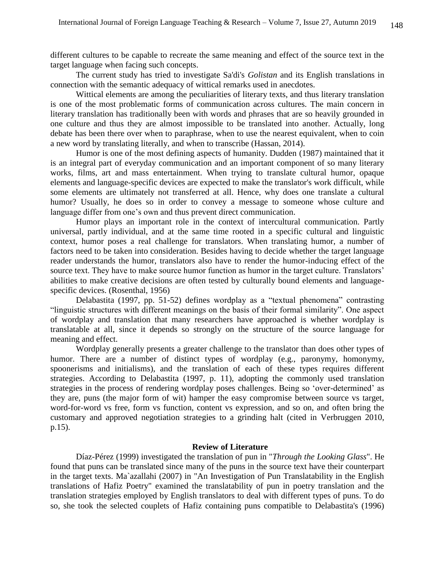different cultures to be capable to recreate the same meaning and effect of the source text in the target language when facing such concepts.

The current study has tried to investigate Sa'di's *Golistan* and its English translations in connection with the semantic adequacy of wittical remarks used in anecdotes.

Wittical elements are among the peculiarities of literary texts, and thus literary translation is one of the most problematic forms of communication across cultures. The main concern in literary translation has traditionally been with words and phrases that are so heavily grounded in one culture and thus they are almost impossible to be translated into another. Actually, long debate has been there over when to paraphrase, when to use the nearest equivalent, when to coin a new word by translating literally, and when to transcribe (Hassan, 2014).

Humor is one of the most defining aspects of humanity. Dudden (1987) maintained that it is an integral part of everyday communication and an important component of so many literary works, films, art and mass entertainment. When trying to translate cultural humor, opaque elements and language-specific devices are expected to make the translator's work difficult, while some elements are ultimately not transferred at all. Hence, why does one translate a cultural humor? Usually, he does so in order to convey a message to someone whose culture and language differ from one's own and thus prevent direct communication.

Humor plays an important role in the context of intercultural communication. Partly universal, partly individual, and at the same time rooted in a specific cultural and linguistic context, humor poses a real challenge for translators. When translating humor, a number of factors need to be taken into consideration. Besides having to decide whether the target language reader understands the humor, translators also have to render the humor-inducing effect of the source text. They have to make source humor function as humor in the target culture. Translators' abilities to make creative decisions are often tested by culturally bound elements and languagespecific devices. (Rosenthal, 1956)

Delabastita (1997, pp. 51-52) defines wordplay as a "textual phenomena" contrasting "linguistic structures with different meanings on the basis of their formal similarity". One aspect of wordplay and translation that many researchers have approached is whether wordplay is translatable at all, since it depends so strongly on the structure of the source language for meaning and effect.

Wordplay generally presents a greater challenge to the translator than does other types of humor. There are a number of distinct types of wordplay (e.g., paronymy, homonymy, spoonerisms and initialisms), and the translation of each of these types requires different strategies. According to Delabastita (1997, p. 11), adopting the commonly used translation strategies in the process of rendering wordplay poses challenges. Being so 'over-determined' as they are, puns (the major form of wit) hamper the easy compromise between source vs target, word-for-word vs free, form vs function, content vs expression, and so on, and often bring the customary and approved negotiation strategies to a grinding halt (cited in Verbruggen 2010, p.15).

#### **Review of Literature**

Díaz-Pérez (1999) investigated the translation of pun in "*Through the Looking Glass*". He found that puns can be translated since many of the puns in the source text have their counterpart in the target texts. Ma`azallahi (2007) in "An Investigation of Pun Translatability in the English translations of Hafiz Poetry" examined the translatability of pun in poetry translation and the translation strategies employed by English translators to deal with different types of puns. To do so, she took the selected couplets of Hafiz containing puns compatible to Delabastita's (1996)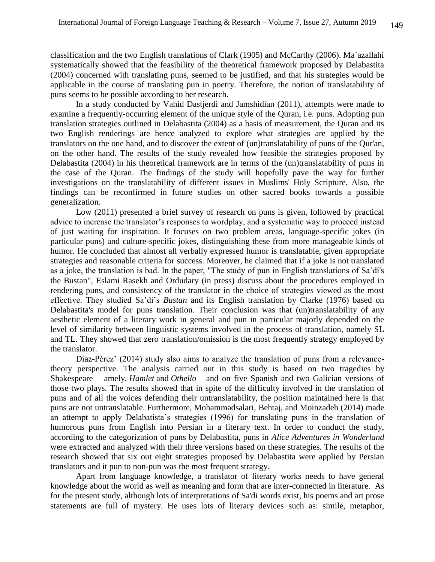classification and the two English translations of Clark (1905) and McCarthy (2006). Ma`azallahi systematically showed that the feasibility of the theoretical framework proposed by Delabastita (2004) concerned with translating puns, seemed to be justified, and that his strategies would be applicable in the course of translating pun in poetry. Therefore, the notion of translatability of puns seems to be possible according to her research.

In a study conducted by Vahid Dastjerdi and Jamshidian (2011), attempts were made to examine a frequently-occurring element of the unique style of the Quran, i.e. puns. Adopting pun translation strategies outlined in Delabastita (2004) as a basis of measurement, the Quran and its two English renderings are hence analyzed to explore what strategies are applied by the translators on the one hand, and to discover the extent of (un)translatability of puns of the Qur'an, on the other hand. The results of the study revealed how feasible the strategies proposed by Delabastita (2004) in his theoretical framework are in terms of the (un)translatability of puns in the case of the Quran. The findings of the study will hopefully pave the way for further investigations on the translatability of different issues in Muslims' Holy Scripture. Also, the findings can be reconfirmed in future studies on other sacred books towards a possible generalization.

Low (2011) presented a brief survey of research on puns is given, followed by practical advice to increase the translator's responses to wordplay, and a systematic way to proceed instead of just waiting for inspiration. It focuses on two problem areas, language-specific jokes (in particular puns) and culture-specific jokes, distinguishing these from more manageable kinds of humor. He concluded that almost all verbally expressed humor is translatable, given appropriate strategies and reasonable criteria for success. Moreover, he claimed that if a joke is not translated as a joke, the translation is bad. In the paper, "The study of pun in English translations of Sa'di's the Bustan", Eslami Rasekh and Ordudary (in press) discuss about the procedures employed in rendering puns, and consistency of the translator in the choice of strategies viewed as the most effective. They studied Sa'di's *Bustan* and its English translation by Clarke (1976) based on Delabastita's model for puns translation. Their conclusion was that (un)translatability of any aesthetic element of a literary work in general and pun in particular majorly depended on the level of similarity between linguistic systems involved in the process of translation, namely SL and TL. They showed that zero translation/omission is the most frequently strategy employed by the translator.

Díaz-Pérez' (2014) study also aims to analyze the translation of puns from a relevancetheory perspective. The analysis carried out in this study is based on two tragedies by Shakespeare – amely, *Hamlet* and *Othello* – and on five Spanish and two Galician versions of those two plays. The results showed that in spite of the difficulty involved in the translation of puns and of all the voices defending their untranslatability, the position maintained here is that puns are not untranslatable. Furthermore, Mohammadsalari, Behtaj, and Moinzadeh (2014) made an attempt to apply Delabatista's strategies (1996) for translating puns in the translation of humorous puns from English into Persian in a literary text. In order to conduct the study, according to the categorization of puns by Delabastita, puns in *Alice Adventures in Wonderland* were extracted and analyzed with their three versions based on these strategies. The results of the research showed that six out eight strategies proposed by Delabastita were applied by Persian translators and it pun to non-pun was the most frequent strategy.

Apart from language knowledge, a translator of literary works needs to have general knowledge about the world as well as meaning and form that are inter-connected in literature. As for the present study, although lots of interpretations of Sa'di words exist, his poems and art prose statements are full of mystery. He uses lots of literary devices such as: simile, metaphor,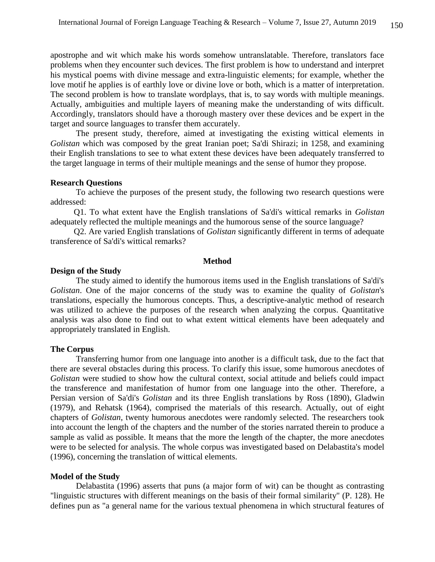apostrophe and wit which make his words somehow untranslatable. Therefore, translators face problems when they encounter such devices. The first problem is how to understand and interpret his mystical poems with divine message and extra-linguistic elements; for example, whether the love motif he applies is of earthly love or divine love or both, which is a matter of interpretation. The second problem is how to translate wordplays, that is, to say words with multiple meanings. Actually, ambiguities and multiple layers of meaning make the understanding of wits difficult. Accordingly, translators should have a thorough mastery over these devices and be expert in the target and source languages to transfer them accurately.

The present study, therefore, aimed at investigating the existing wittical elements in *Golistan* which was composed by the great Iranian poet; Sa'di Shirazi; in 1258, and examining their English translations to see to what extent these devices have been adequately transferred to the target language in terms of their multiple meanings and the sense of humor they propose.

#### **Research Questions**

To achieve the purposes of the present study, the following two research questions were addressed:

 Q1. To what extent have the English translations of Sa'di's wittical remarks in *Golistan* adequately reflected the multiple meanings and the humorous sense of the source language?

 Q2. Are varied English translations of *Golistan* significantly different in terms of adequate transference of Sa'di's wittical remarks?

#### **Method**

#### **Design of the Study**

The study aimed to identify the humorous items used in the English translations of Sa'di's *Golistan*. One of the major concerns of the study was to examine the quality of *Golistan*'s translations, especially the humorous concepts. Thus, a descriptive-analytic method of research was utilized to achieve the purposes of the research when analyzing the corpus. Quantitative analysis was also done to find out to what extent wittical elements have been adequately and appropriately translated in English.

### **The Corpus**

Transferring humor from one language into another is a difficult task, due to the fact that there are several obstacles during this process. To clarify this issue, some humorous anecdotes of *Golistan* were studied to show how the cultural context, social attitude and beliefs could impact the transference and manifestation of humor from one language into the other. Therefore, a Persian version of Sa'di's *Golistan* and its three English translations by Ross (1890), Gladwin (1979), and Rehatsk (1964), comprised the materials of this research. Actually, out of eight chapters of *Golistan*, twenty humorous anecdotes were randomly selected. The researchers took into account the length of the chapters and the number of the stories narrated therein to produce a sample as valid as possible. It means that the more the length of the chapter, the more anecdotes were to be selected for analysis. The whole corpus was investigated based on Delabastita's model (1996), concerning the translation of wittical elements.

#### **Model of the Study**

Delabastita (1996) asserts that puns (a major form of wit) can be thought as contrasting "linguistic structures with different meanings on the basis of their formal similarity" (P. 128). He defines pun as "a general name for the various textual phenomena in which structural features of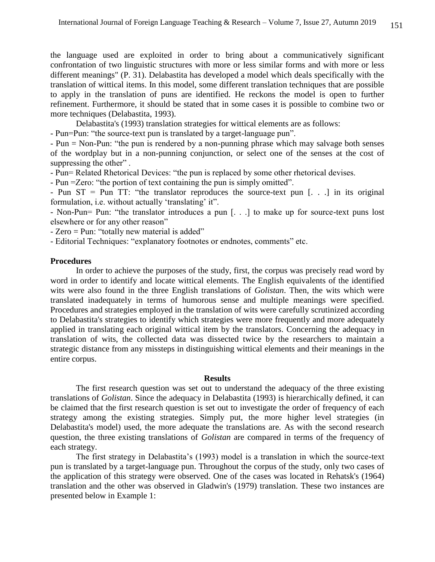the language used are exploited in order to bring about a communicatively significant confrontation of two linguistic structures with more or less similar forms and with more or less different meanings" (P. 31). Delabastita has developed a model which deals specifically with the translation of wittical items. In this model, some different translation techniques that are possible to apply in the translation of puns are identified. He reckons the model is open to further refinement. Furthermore, it should be stated that in some cases it is possible to combine two or more techniques (Delabastita, 1993).

Delabastita's (1993) translation strategies for wittical elements are as follows:

- Pun=Pun: "the source-text pun is translated by a target-language pun".

- Pun = Non-Pun: "the pun is rendered by a non-punning phrase which may salvage both senses of the wordplay but in a non-punning conjunction, or select one of the senses at the cost of suppressing the other".

- Pun= Related Rhetorical Devices: "the pun is replaced by some other rhetorical devises.

- Pun =Zero: "the portion of text containing the pun is simply omitted".

- Pun ST = Pun TT: "the translator reproduces the source-text pun [...] in its original formulation, i.e. without actually 'translating' it".

- Non-Pun= Pun: "the translator introduces a pun [. . .] to make up for source-text puns lost elsewhere or for any other reason"

- Zero = Pun: "totally new material is added"

- Editorial Techniques: "explanatory footnotes or endnotes, comments" etc.

#### **Procedures**

In order to achieve the purposes of the study, first, the corpus was precisely read word by word in order to identify and locate wittical elements. The English equivalents of the identified wits were also found in the three English translations of *Golistan*. Then, the wits which were translated inadequately in terms of humorous sense and multiple meanings were specified. Procedures and strategies employed in the translation of wits were carefully scrutinized according to Delabastita's strategies to identify which strategies were more frequently and more adequately applied in translating each original wittical item by the translators. Concerning the adequacy in translation of wits, the collected data was dissected twice by the researchers to maintain a strategic distance from any missteps in distinguishing wittical elements and their meanings in the entire corpus.

#### **Results**

The first research question was set out to understand the adequacy of the three existing translations of *Golistan*. Since the adequacy in Delabastita (1993) is hierarchically defined, it can be claimed that the first research question is set out to investigate the order of frequency of each strategy among the existing strategies. Simply put, the more higher level strategies (in Delabastita's model) used, the more adequate the translations are. As with the second research question, the three existing translations of *Golistan* are compared in terms of the frequency of each strategy.

The first strategy in Delabastita's (1993) model is a translation in which the source-text pun is translated by a target-language pun. Throughout the corpus of the study, only two cases of the application of this strategy were observed. One of the cases was located in Rehatsk's (1964) translation and the other was observed in Gladwin's (1979) translation. These two instances are presented below in Example 1: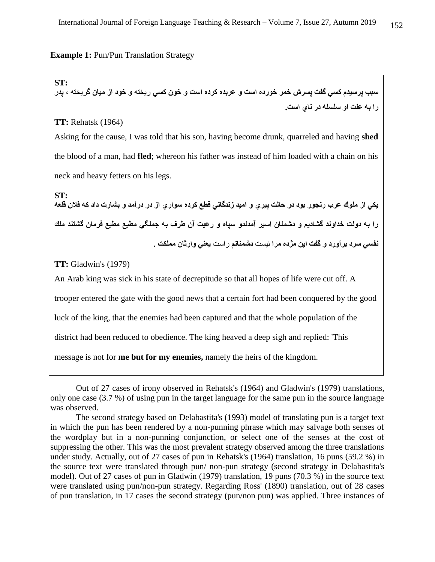#### **Example 1: Pun/Pun Translation Strategy**

**ST:**

**سبب پرسيدم كسي گفت پسرش خمر خورده است و عربده كرده است و خون كسي** ريخته **و خود از ميان** گريخته **، پدر را به علت او سلسله در ناي است.**

### **TT:** Rehatsk (1964)

Asking for the cause, I was told that his son, having become drunk, quarreled and having **shed** the blood of a man, had **fled**; whereon his father was instead of him loaded with a chain on his neck and heavy fetters on his legs.

يكي از ملوك عرب رنجور بود در حالت پيري و اميد زندگاني قطع كرده سوا*ري* از در درآمد و بشارت داد كه فلان قلعه ً Out of 27 cases of irony observed in Rehatsk's (1964) and Gladwin's (1979) translations, onl **ST: را به دولت خداوند گشاديم و دشمنان اسير آمدندو سپاه و رعيت آن طرف به جملگي مطيع مطيع فرمان گشتند ملك نفسي سرد برآورد و گفت اين مژده مرا** نيست **دشمنانم** راست **يعني وارثان مملكت .**

**TT:** Gladwin's (1979)

An Arab king was sick in his state of decrepitude so that all hopes of life were cut off. A

trooper entered the gate with the good news that a certain fort had been conquered by the good

luck of the king, that the enemies had been captured and that the whole population of the

district had been reduced to obedience. The king heaved a deep sigh and replied: 'This

message is not for **me but for my enemies,** namely the heirs of the kingdom.

Out of 27 cases of irony observed in Rehatsk's (1964) and Gladwin's (1979) translations, only one case (3.7 %) of using pun in the target language for the same pun in the source language was observed.

The second strategy based on Delabastita's (1993) model of translating pun is a target text in which the pun has been rendered by a non-punning phrase which may salvage both senses of the wordplay but in a non-punning conjunction, or select one of the senses at the cost of suppressing the other. This was the most prevalent strategy observed among the three translations under study. Actually, out of 27 cases of pun in Rehatsk's (1964) translation, 16 puns (59.2 %) in the source text were translated through pun/ non-pun strategy (second strategy in Delabastita's model). Out of 27 cases of pun in Gladwin (1979) translation, 19 puns (70.3 %) in the source text were translated using pun/non-pun strategy. Regarding Ross' (1890) translation, out of 28 cases of pun translation, in 17 cases the second strategy (pun/non pun) was applied. Three instances of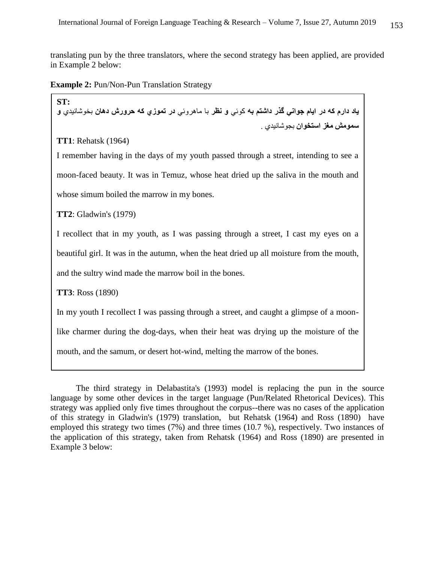translating pun by the three translators, where the second strategy has been applied, are provided in Example 2 below:

**Example 2: Pun/Non-Pun Translation Strategy** 

**ST: ياد دارم كه در ايام جواني گذر داشتم به** كوئي **و نظر** با ماهروئي **در تموزي كه حرورش دهان** بخوشانيدي **و سمومش مغز استخوان** بجوشانيدي .

**TT1**: Rehatsk (1964)

I remember having in the days of my youth passed through a street, intending to see a moon-faced beauty. It was in Temuz, whose heat dried up the saliva in the mouth and whose simum boiled the marrow in my bones.

**TT2**: Gladwin's (1979)

I recollect that in my youth, as I was passing through a street, I cast my eyes on a beautiful girl. It was in the autumn, when the heat dried up all moisture from the mouth, and the sultry wind made the marrow boil in the bones.

**TT3**: Ross (1890)

In my youth I recollect I was passing through a street, and caught a glimpse of a moon-

like charmer during the dog-days, when their heat was drying up the moisture of the

mouth, and the samum, or desert hot-wind, melting the marrow of the bones.

The third strategy in Delabastita's (1993) model is replacing the pun in the source language by some other devices in the target language (Pun/Related Rhetorical Devices). This strategy was applied only five times throughout the corpus--there was no cases of the application of this strategy in Gladwin's (1979) translation, but Rehatsk (1964) and Ross (1890) have employed this strategy two times (7%) and three times (10.7 %), respectively. Two instances of the application of this strategy, taken from Rehatsk (1964) and Ross (1890) are presented in Example 3 below: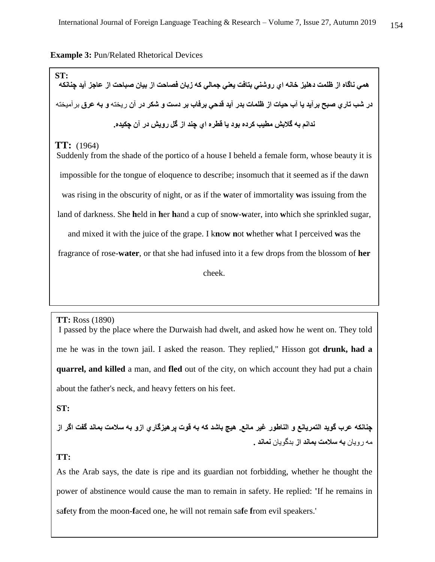#### **Example 3:** Pun/Related Rhetorical Devices

ه*مي* ناگاه از ظلمت دهليز خانه اي روشني بتافت يعني جمالي كه زبان فصاحت از بيان صباحت از عاجز آيد چنانكه **ST: در شب تاري صبح برآيد يا آب حيات از ظلمات بدر آيد قدحي برفاب بر دست و شكر در آن** ريخته **و به عرق** برآميخته **ندانم به گالبش مطيب كرده بود يا قطره اي چند از گل رويش در آن چكيده.**

### **TT:** (1964)

Suddenly from the shade of the portico of a house I beheld a female form, whose beauty it is impossible for the tongue of eloquence to describe; insomuch that it seemed as if the dawn was rising in the obscurity of night, or as if the **w**ater of immortality **w**as issuing from the land of darkness. She **h**eld in **h**er **h**and a cup of sno**w**-**w**ater, into **w**hich she sprinkled sugar, and mixed it with the juice of the grape. I k**n**o**w n**ot **w**hether **w**hat I perceived **w**as the fragrance of rose-**water**, or that she had infused into it a few drops from the blossom of **her**  cheek.

#### **TT:** Ross (1890)

**ST: quarrel, and killed** a man, and **fled** out of the city, on which account they had put a chain about the father's neck, and heavy fetters on his feet. I passed by the place where the Durwaish had dwelt, and asked how he went on. They told me he was in the town jail. I asked the reason. They replied," Hisson got **drunk, had a** 

**را به علت او سلسله در ناي است و بند گران بر پاي گفتم اين بال را به حاجت از خداي عزوجل خواسته است . ST:**

**چنانكه عرب گويد التمريانع و الناطور غير مانع. هيچ باشد كه به قوت پرهيزگاري ازو به سالمت بماند گفت اگر از** مه رويان **به سالمت بماند از** بدگويان **نماند .**

## **TT:**

As the Arab says, the date is ripe and its guardian not forbidding, whether he thought the power of abstinence would cause the man to remain in safety. He replied: **'**If he remains in sa**f**ety **f**rom the moon-**f**aced one, he will not remain sa**f**e **f**rom evil speakers.'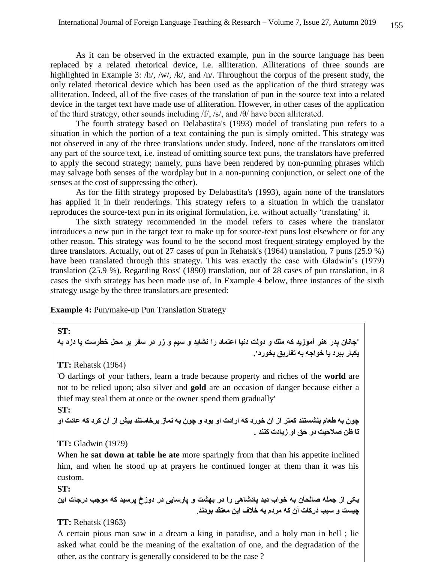As it can be observed in the extracted example, pun in the source language has been replaced by a related rhetorical device, i.e. alliteration. Alliterations of three sounds are highlighted in Example 3: /h/, /w/, /k/, and /n/. Throughout the corpus of the present study, the only related rhetorical device which has been used as the application of the third strategy was alliteration. Indeed, all of the five cases of the translation of pun in the source text into a related device in the target text have made use of alliteration. However, in other cases of the application of the third strategy, other sounds including /f/, /s/, and /θ/ have been alliterated.

The fourth strategy based on Delabastita's (1993) model of translating pun refers to a situation in which the portion of a text containing the pun is simply omitted. This strategy was not observed in any of the three translations under study. Indeed, none of the translators omitted any part of the source text, i.e. instead of omitting source text puns, the translators have preferred to apply the second strategy; namely, puns have been rendered by non-punning phrases which may salvage both senses of the wordplay but in a non-punning conjunction, or select one of the senses at the cost of suppressing the other).

As for the fifth strategy proposed by Delabastita's (1993), again none of the translators has applied it in their renderings. This strategy refers to a situation in which the translator reproduces the source-text pun in its original formulation, i.e. without actually 'translating' it.

The sixth strategy recommended in the model refers to cases where the translator introduces a new pun in the target text to make up for source-text puns lost elsewhere or for any other reason. This strategy was found to be the second most frequent strategy employed by the three translators. Actually, out of 27 cases of pun in Rehatsk's (1964) translation, 7 puns (25.9 %) have been translated through this strategy. This was exactly the case with Gladwin's (1979) translation (25.9 %). Regarding Ross' (1890) translation, out of 28 cases of pun translation, in 8 cases the sixth strategy has been made use of. In Example 4 below, three instances of the sixth strategy usage by the three translators are presented:

**Example 4:** Pun/make-up Pun Translation Strategy

**'جانان پدر هنر آموزيد كه ملك و دولت دنيا اعتماد را نشايد و سيم و زر در سفر بر محل خطرست يا دزد به يكبار ببرد يا خواجه به تفاريق بخورد'.**

**TT:** Rehatsk (1964)

'O darlings of your fathers, learn a trade because property and riches of the **world** are not to be relied upon; also silver and **gold** are an occasion of danger because either a thief may steal them at once or the owner spend them gradually'

### **ST:**

**ST:**

**چون به طعام بنشستند كمتر از آن خورد كه ارادت او بود و چون به نماز برخاستند بيش از آن كرد كه عادت او تا ظن صالحيت در حق او زيادت كنند .**

### **TT:** Gladwin (1979)

When he **sat down at table he ate** more sparingly from that than his appetite inclined him, and when he stood up at prayers he continued longer at them than it was his custom.

**ST:** 

**يکی از جمله صالحان به خواب ديد پادشاهی را در بهشت و پارسايی در دوزخ پرسيد که موجب درجات اين چيست و سبب درکات آن که مردم به خالف اين معتقد بودند**.

# **TT:** Rehatsk (1963)

A certain pious man saw in a dream a king in paradise, and a holy man in hell ; lie asked what could be the meaning of the exaltation of one, and the degradation of the other, as the contrary is generally considered to be the case ?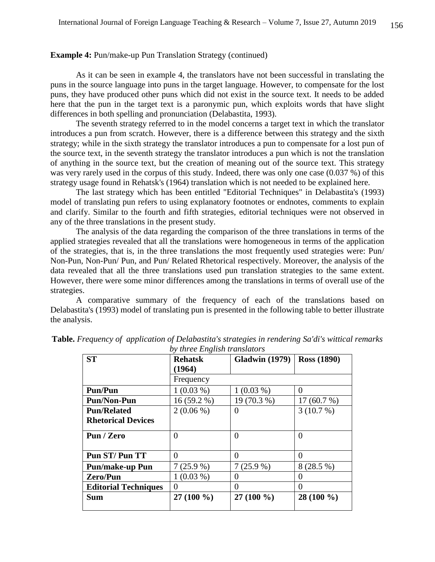### **Example 4:** Pun/make-up Pun Translation Strategy (continued)

As it can be seen in example 4, the translators have not been successful in translating the puns in the source language into puns in the target language. However, to compensate for the lost puns, they have produced other puns which did not exist in the source text. It needs to be added here that the pun in the target text is a paronymic pun, which exploits words that have slight differences in both spelling and pronunciation (Delabastita, 1993).

The seventh strategy referred to in the model concerns a target text in which the translator introduces a pun from scratch. However, there is a difference between this strategy and the sixth strategy; while in the sixth strategy the translator introduces a pun to compensate for a lost pun of the source text, in the seventh strategy the translator introduces a pun which is not the translation of anything in the source text, but the creation of meaning out of the source text. This strategy was very rarely used in the corpus of this study. Indeed, there was only one case (0.037 %) of this strategy usage found in Rehatsk's (1964) translation which is not needed to be explained here.

The last strategy which has been entitled "Editorial Techniques" in Delabastita's (1993) model of translating pun refers to using explanatory footnotes or endnotes, comments to explain and clarify. Similar to the fourth and fifth strategies, editorial techniques were not observed in any of the three translations in the present study.

The analysis of the data regarding the comparison of the three translations in terms of the applied strategies revealed that all the translations were homogeneous in terms of the application of the strategies, that is, in the three translations the most frequently used strategies were: Pun/ Non-Pun, Non-Pun/ Pun, and Pun/ Related Rhetorical respectively. Moreover, the analysis of the data revealed that all the three translations used pun translation strategies to the same extent. However, there were some minor differences among the translations in terms of overall use of the strategies.

A comparative summary of the frequency of each of the translations based on Delabastita's (1993) model of translating pun is presented in the following table to better illustrate the analysis.

| <b>ST</b>                   | <b>Rehatsk</b> | <b>Gladwin</b> (1979) | <b>Ross (1890)</b> |
|-----------------------------|----------------|-----------------------|--------------------|
|                             | (1964)         |                       |                    |
|                             | Frequency      |                       |                    |
| <b>Pun/Pun</b>              | $1(0.03\%)$    | $1(0.03\%)$           | $\Omega$           |
| <b>Pun/Non-Pun</b>          | $16(59.2\%)$   | 19 (70.3 %)           | 17(60.7%)          |
| <b>Pun/Related</b>          | $2(0.06\%)$    | $\theta$              | 3(10.7%)           |
| <b>Rhetorical Devices</b>   |                |                       |                    |
| Pun / Zero                  | 0              | $\Omega$              | $\Omega$           |
| Pun ST/Pun TT               | 0              | $\Omega$              | $\Omega$           |
| <b>Pun/make-up Pun</b>      | $7(25.9\%)$    | $7(25.9\%)$           | $8(28.5\%)$        |
| Zero/Pun                    | $1(0.03\%)$    | $\theta$              | $\Omega$           |
| <b>Editorial Techniques</b> | 0              | $\theta$              | $\Omega$           |
| <b>Sum</b>                  | $27(100\%)$    | $27(100\%)$           | 28 (100 %)         |

**Table.** *Frequency of application of Delabastita's strategies in rendering Sa'di's wittical remarks by three English translators*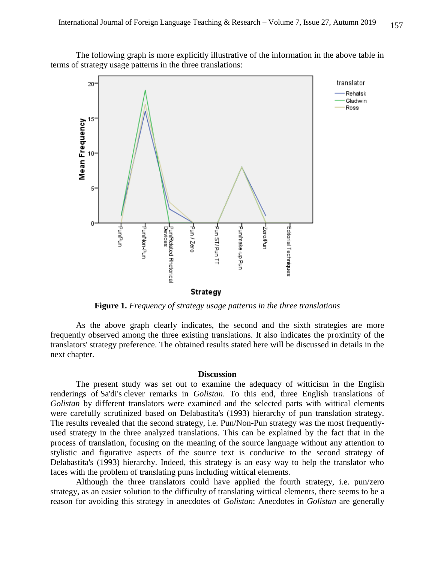The following graph is more explicitly illustrative of the information in the above table in terms of strategy usage patterns in the three translations:



**Figure 1.** *Frequency of strategy usage patterns in the three translations*

As the above graph clearly indicates, the second and the sixth strategies are more frequently observed among the three existing translations. It also indicates the proximity of the translators' strategy preference. The obtained results stated here will be discussed in details in the next chapter.

#### **Discussion**

The present study was set out to examine the adequacy of witticism in the English renderings of Sa'di's clever remarks in *Golistan*. To this end, three English translations of *Golistan* by different translators were examined and the selected parts with wittical elements were carefully scrutinized based on Delabastita's (1993) hierarchy of pun translation strategy. The results revealed that the second strategy, i.e. Pun/Non-Pun strategy was the most frequentlyused strategy in the three analyzed translations. This can be explained by the fact that in the process of translation, focusing on the meaning of the source language without any attention to stylistic and figurative aspects of the source text is conducive to the second strategy of Delabastita's (1993) hierarchy. Indeed, this strategy is an easy way to help the translator who faces with the problem of translating puns including wittical elements.

Although the three translators could have applied the fourth strategy, i.e. pun/zero strategy, as an easier solution to the difficulty of translating wittical elements, there seems to be a reason for avoiding this strategy in anecdotes of *Golistan*: Anecdotes in *Golistan* are generally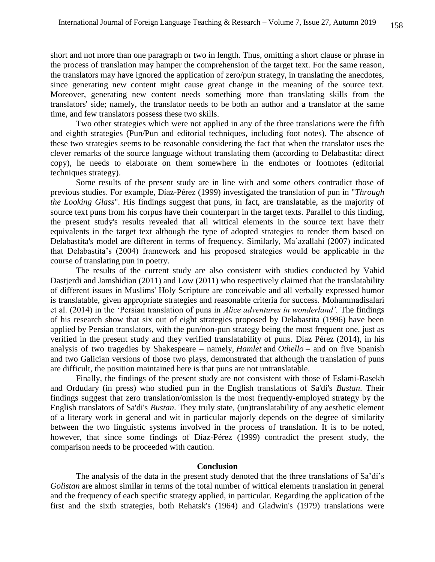short and not more than one paragraph or two in length. Thus, omitting a short clause or phrase in the process of translation may hamper the comprehension of the target text. For the same reason, the translators may have ignored the application of zero/pun strategy, in translating the anecdotes, since generating new content might cause great change in the meaning of the source text. Moreover, generating new content needs something more than translating skills from the translators' side; namely, the translator needs to be both an author and a translator at the same time, and few translators possess these two skills.

Two other strategies which were not applied in any of the three translations were the fifth and eighth strategies (Pun/Pun and editorial techniques, including foot notes). The absence of these two strategies seems to be reasonable considering the fact that when the translator uses the clever remarks of the source language without translating them (according to Delabastita: direct copy), he needs to elaborate on them somewhere in the endnotes or footnotes (editorial techniques strategy).

Some results of the present study are in line with and some others contradict those of previous studies. For example, Díaz-Pérez (1999) investigated the translation of pun in "*Through the Looking Glass*". His findings suggest that puns, in fact, are translatable, as the majority of source text puns from his corpus have their counterpart in the target texts. Parallel to this finding, the present study's results revealed that all wittical elements in the source text have their equivalents in the target text although the type of adopted strategies to render them based on Delabastita's model are different in terms of frequency. Similarly, Ma`azallahi (2007) indicated that Delabastita's (2004) framework and his proposed strategies would be applicable in the course of translating pun in poetry.

The results of the current study are also consistent with studies conducted by Vahid Dastjerdi and Jamshidian (2011) and Low (2011) who respectively claimed that the translatability of different issues in Muslims' Holy Scripture are conceivable and all verbally expressed humor is translatable, given appropriate strategies and reasonable criteria for success. Mohammadisalari et al. (2014) in the 'Persian translation of puns in *Alice adventures in wonderland'.* The findings of his research show that six out of eight strategies proposed by Delabastita (1996) have been applied by Persian translators, with the pun/non-pun strategy being the most frequent one, just as verified in the present study and they verified translatability of puns. Díaz Pérez (2014), in his analysis of two tragedies by Shakespeare – namely, *Hamlet* and *Othello* – and on five Spanish and two Galician versions of those two plays, demonstrated that although the translation of puns are difficult, the position maintained here is that puns are not untranslatable.

Finally, the findings of the present study are not consistent with those of Eslami-Rasekh and Ordudary (in press) who studied pun in the English translations of Sa'di's *Bustan*. Their findings suggest that zero translation/omission is the most frequently-employed strategy by the English translators of Sa'di's *Bustan*. They truly state, (un)translatability of any aesthetic element of a literary work in general and wit in particular majorly depends on the degree of similarity between the two linguistic systems involved in the process of translation. It is to be noted, however, that since some findings of Díaz-Pérez (1999) contradict the present study, the comparison needs to be proceeded with caution.

#### **Conclusion**

The analysis of the data in the present study denoted that the three translations of Sa'di's *Golistan* are almost similar in terms of the total number of wittical elements translation in general and the frequency of each specific strategy applied, in particular. Regarding the application of the first and the sixth strategies, both Rehatsk's (1964) and Gladwin's (1979) translations were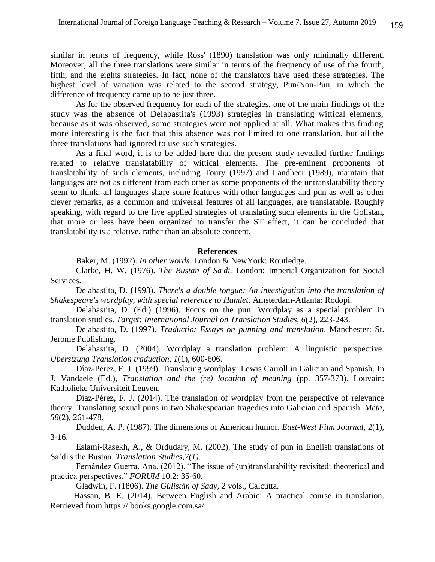similar in terms of frequency, while Ross' (1890) translation was only minimally different. Moreover, all the three translations were similar in terms of the frequency of use of the fourth, fifth, and the eights strategies. In fact, none of the translators have used these strategies. The highest level of variation was related to the second strategy, Pun/Non-Pun, in which the difference of frequency came up to be just three.

As for the observed frequency for each of the strategies, one of the main findings of the study was the absence of Delabastita's (1993) strategies in translating wittical elements, because as it was observed, some strategies were not applied at all. What makes this finding more interesting is the fact that this absence was not limited to one translation, but all the three translations had ignored to use such strategies.

As a final word, it is to be added here that the present study revealed further findings related to relative translatability of wittical elements. The pre-eminent proponents of translatability of such elements, including Toury (1997) and Landheer (1989), maintain that languages are not as different from each other as some proponents of the untranslatability theory seem to think; all languages share some features with other languages and pun as well as other clever remarks, as a common and universal features of all languages, are translatable. Roughly speaking, with regard to the five applied strategies of translating such elements in the Golistan, that more or less have been organized to transfer the ST effect, it can be concluded that translatability is a relative, rather than an absolute concept.

### **References**

Baker, M. (1992). *In other words*. London & NewYork: Routledge.

Clarke, H. W. (1976). *The Bustan of Sa'di.* London: Imperial Organization for Social Services.

Delabastita, D. (1993). *There's a double tongue: An investigation into the translation of Shakespeare's wordplay, with special reference to Hamlet*. Amsterdam-Atlanta: Rodopi.

Delabastita, D. (Ed.) (1996). Focus on the pun: Wordplay as a special problem in translation studies. *Target: International Journal on Translation Studies, 6*(2), 223-243.

Delabastita, D. (1997). *Traductio: Essays on punning and translation*. Manchester: St. Jerome Publishing.

Delabastita, D. (2004). Wordplay a translation problem: A linguistic perspective. *Uberstzung Translation traduction, 1*(1), 600-606.

Díaz-Perez, F. J. (1999). Translating wordplay: Lewis Carroll in Galician and Spanish. In J. Vandaele (Ed.), *Translation and the (re) location of meaning* (pp. 357-373). Louvain: Katholieke Universiteit Leuven.

Díaz-Pérez, F. J. (2014). The translation of wordplay from the perspective of relevance theory: Translating sexual puns in two Shakespearian tragedies into Galician and Spanish. *Meta, 58*(2), 261-478.

Dudden, A. P. (1987). The dimensions of American humor. *East-West Film Journal*, 2(1), 3-16.

Eslami-Rasekh, A., & Ordudary, M. (2002). The study of pun in English translations of Sa'di's the Bustan. *Translation Studies,7(1).*

 Fernández Guerra, Ana. (2012). "The issue of (un)translatability revisited: theoretical and practica perspectives." *FORUM* 10.2: 35-60.

Gladwin, F. (1806). *The Gûlistân of Sady,* 2 vols., Calcutta.

 Hassan, B. E. (2014). Between English and Arabic: A practical course in translation. Retrieved from https:// books.google.com.sa/